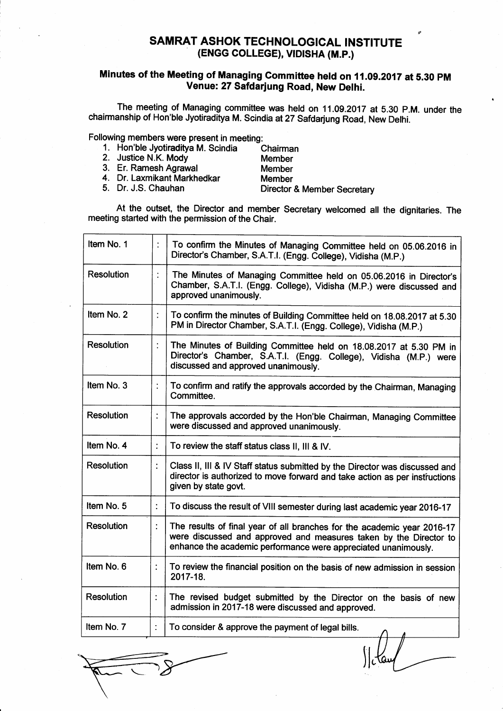## SAMRAT ASHOK TECHNOLOGICAL INSTITUTE (ENGG COLLEGE), VID|SHA (M.P.)

## Minutes of the Meeting of Managing Committee held on 11.09.2017 at 5.30 PM Venue: 27 Safdarjung Road, New Delhi.

The meeting of Managing committee was held on 11.09.2017 at 5.30 P.M. under the chairmanship of Hon'ble Jyotiraditya M. Scindia at27 Safdarjung Road, New Delhi.

Following members were present in meeting:

- 1. Hon'ble Jyotiraditya M. Scindia Chairman<br>2. Justice N.K. Mody Member
- 2. Justice N.K. Mody<br>3. Er. Ramesh Agrawal
- -
- 
- 
- 3. Er. Ramesh Agrawal Member 4. Dr. Laxmikant Markhedkar Member

Director & Member Secretary

At the outset, the Director and member Secretary welcomed all the dignitaries. The meeting started with the permission of the Chair.

| Item No. 1        | $\ddot{\cdot}$ | To confirm the Minutes of Managing Committee held on 05.06.2016 in<br>Director's Chamber, S.A.T.I. (Engg. College), Vidisha (M.P.)                                                                             |
|-------------------|----------------|----------------------------------------------------------------------------------------------------------------------------------------------------------------------------------------------------------------|
| <b>Resolution</b> |                | The Minutes of Managing Committee held on 05.06.2016 in Director's<br>Chamber, S.A.T.I. (Engg. College), Vidisha (M.P.) were discussed and<br>approved unanimously.                                            |
| Item No. 2        | $\ddot{\cdot}$ | To confirm the minutes of Building Committee held on 18.08.2017 at 5.30<br>PM in Director Chamber, S.A.T.I. (Engg. College), Vidisha (M.P.)                                                                    |
| <b>Resolution</b> |                | The Minutes of Building Committee held on 18.08.2017 at 5.30 PM in<br>Director's Chamber, S.A.T.I. (Engg. College), Vidisha (M.P.) were<br>discussed and approved unanimously.                                 |
| Item No. 3        |                | To confirm and ratify the approvals accorded by the Chairman, Managing<br>Committee.                                                                                                                           |
| <b>Resolution</b> |                | The approvals accorded by the Hon'ble Chairman, Managing Committee<br>were discussed and approved unanimously.                                                                                                 |
| Item No. 4        | ÷              | To review the staff status class II, III & IV.                                                                                                                                                                 |
| <b>Resolution</b> | ÷              | Class II, III & IV Staff status submitted by the Director was discussed and<br>director is authorized to move forward and take action as per instructions<br>given by state govt.                              |
| Item No. 5        | $\ddot{\cdot}$ | To discuss the result of VIII semester during last academic year 2016-17                                                                                                                                       |
| <b>Resolution</b> | ÷              | The results of final year of all branches for the academic year 2016-17<br>were discussed and approved and measures taken by the Director to<br>enhance the academic performance were appreciated unanimously. |
| Item No. 6        | $\ddot{\cdot}$ | To review the financial position on the basis of new admission in session<br>2017-18.                                                                                                                          |
| <b>Resolution</b> |                | The revised budget submitted by the Director on the basis of new<br>admission in 2017-18 were discussed and approved.                                                                                          |
| Item No. 7        | ÷              | To consider & approve the payment of legal bills.                                                                                                                                                              |

 $\int c \, \mathrm{d} \omega \, \mathrm{d} \omega$